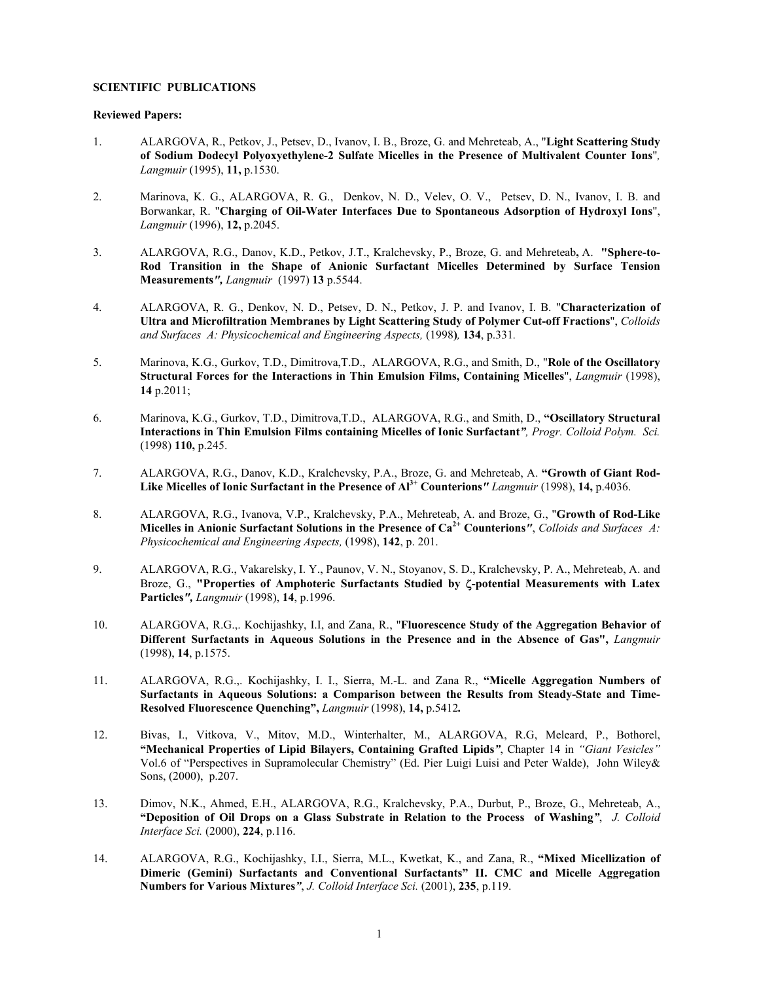## **SCIENTIFIC PUBLICATIONS**

## **Reviewed Papers:**

- 1. ALARGOVA, R., Petkov, J., Petsev, D., Ivanov, I. B., Broze, G. and Mehreteab, A., "**Light Scattering Study of Sodium Dodecyl Polyoxyethylene-2 Sulfate Micelles in the Presence of Multivalent Counter Ions**"*, Langmuir* (1995), **11,** p.1530.
- 2. Marinova, K. G., ALARGOVA, R. G., Denkov, N. D., Velev, O. V., Petsev, D. N., Ivanov, I. B. and Borwankar, R. "**Charging of Oil-Water Interfaces Due to Spontaneous Adsorption of Hydroxyl Ions**", *Langmuir* (1996), **12,** p.2045.
- 3. ALARGOVA, R.G., Danov, K.D., Petkov, J.T., Kralchevsky, P., Broze, G. and Mehreteab**,** A. **"Sphere-to-Rod Transition in the Shape of Anionic Surfactant Micelles Determined by Surface Tension Measurements***", Langmuir* (1997) **13** p.5544.
- 4. ALARGOVA, R. G., Denkov, N. D., Petsev, D. N., Petkov, J. P. and Ivanov, I. B. "**Characterization of Ultra and Microfiltration Membranes by Light Scattering Study of Polymer Cut-off Fractions**", *Colloids and Surfaces A: Physicochemical and Engineering Aspects,* (1998**)***,* **134**, p.331*.*
- 5. Marinova, K.G., Gurkov, T.D., Dimitrova,T.D., ALARGOVA, R.G., and Smith, D., "**Role of the Oscillatory Structural Forces for the Interactions in Thin Emulsion Films, Containing Micelles**", *Langmuir* (1998), **14** p.2011;
- 6. Marinova, K.G., Gurkov, T.D., Dimitrova,T.D., ALARGOVA, R.G., and Smith, D., **"Oscillatory Structural Interactions in Thin Emulsion Films containing Micelles of Ionic Surfactant***", Progr. Colloid Polym. Sci.*  (1998) **110,** p.245.
- 7. ALARGOVA, R.G., Danov, K.D., Kralchevsky, P.A., Broze, G. and Mehreteab, A. **"Growth of Giant Rod-Like Micelles of Ionic Surfactant in the Presence of Al3+ Counterions***" Langmuir* (1998), **14,** p.4036.
- 8. ALARGOVA, R.G., Ivanova, V.P., Kralchevsky, P.A., Mehreteab, A. and Broze, G., "**Growth of Rod-Like Micelles in Anionic Surfactant Solutions in the Presence of Ca2+ Counterions***"*, *Colloids and Surfaces A: Physicochemical and Engineering Aspects,* (1998), **142**, p. 201.
- 9. ALARGOVA, R.G., Vakarelsky, I. Y., Paunov, V. N., Stoyanov, S. D., Kralchevsky, P. A., Mehreteab, A. and Broze, G., **"Properties of Amphoteric Surfactants Studied by** ζ**-potential Measurements with Latex Particles***", Langmuir* (1998), **14**, p.1996.
- 10. ALARGOVA, R.G.,. Kochijashky, I.I, and Zana, R., "**Fluorescence Study of the Aggregation Behavior of Different Surfactants in Aqueous Solutions in the Presence and in the Absence of Gas",** *Langmuir* (1998), **14**, p.1575.
- 11. ALARGOVA, R.G.,. Kochijashky, I. I., Sierra, M.-L. and Zana R., **"Micelle Aggregation Numbers of Surfactants in Aqueous Solutions: a Comparison between the Results from Steady-State and Time-Resolved Fluorescence Quenching",** *Langmuir* (1998), **14,** p.5412*.*
- 12. Bivas, I., Vitkova, V., Mitov, M.D., Winterhalter, M., ALARGOVA, R.G, Meleard, P., Bothorel, **"Mechanical Properties of Lipid Bilayers, Containing Grafted Lipids***"*, Chapter 14 in *"Giant Vesicles"* Vol.6 of "Perspectives in Supramolecular Chemistry" (Ed. Pier Luigi Luisi and Peter Walde), John Wiley& Sons, (2000), p.207.
- 13. Dimov, N.K., Ahmed, E.H., ALARGOVA, R.G., Kralchevsky, P.A., Durbut, P., Broze, G., Mehreteab, A., **"Deposition of Oil Drops on a Glass Substrate in Relation to the Process of Washing***"*, *J. Colloid Interface Sci.* (2000), **224**, p.116.
- 14. ALARGOVA, R.G., Kochijashky, I.I., Sierra, M.L., Kwetkat, K., and Zana, R., **"Mixed Micellization of Dimeric (Gemini) Surfactants and Conventional Surfactants" II. CMC and Micelle Aggregation Numbers for Various Mixtures***"*, *J. Colloid Interface Sci.* (2001), **235**, p.119.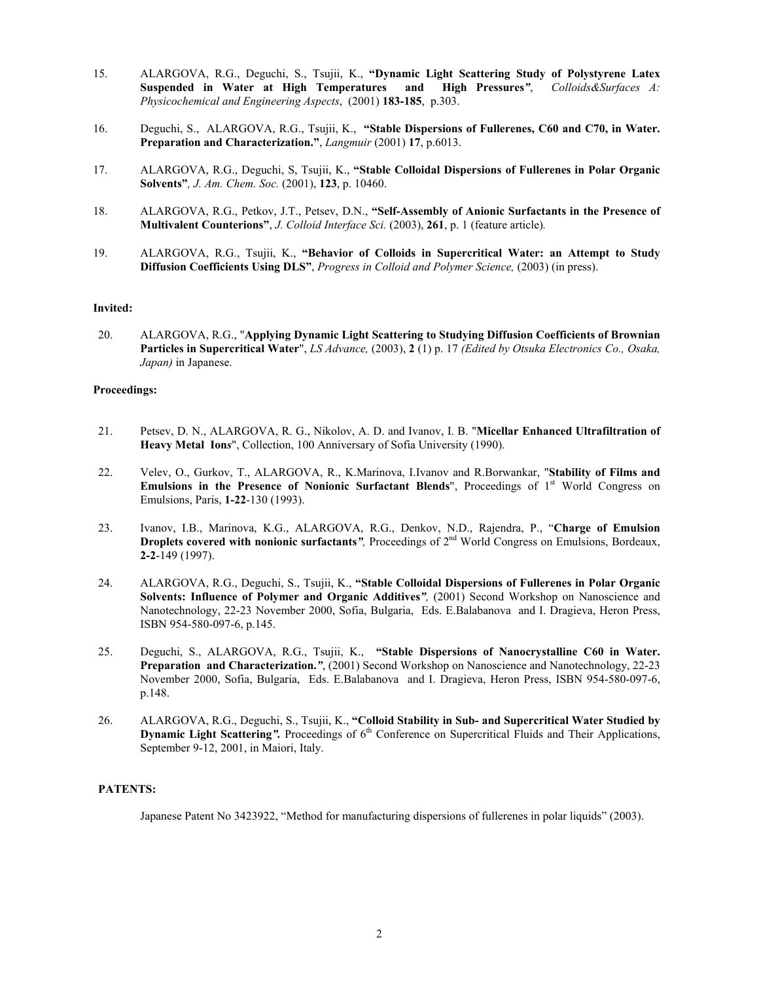- 15. ALARGOVA, R.G., Deguchi, S., Tsujii, K., **"Dynamic Light Scattering Study of Polystyrene Latex Suspended in Water at High Temperatures and High Pressures***"*, *Colloids&Surfaces A: Physicochemical and Engineering Aspects*, (2001) **183-185**, p.303.
- 16. Deguchi, S., ALARGOVA, R.G., Tsujii, K., **"Stable Dispersions of Fullerenes, C60 and C70, in Water. Preparation and Characterization."**, *Langmuir* (2001) **17**, p.6013.
- 17. ALARGOVA, R.G., Deguchi, S, Tsujii, K., **"Stable Colloidal Dispersions of Fullerenes in Polar Organic Solvents"***, J. Am. Chem. Soc.* (2001), **123**, p. 10460.
- 18. ALARGOVA, R.G., Petkov, J.T., Petsev, D.N., **"Self-Assembly of Anionic Surfactants in the Presence of Multivalent Counterions"**, *J. Colloid Interface Sci.* (2003), **261**, p. 1 (feature article)*.*
- 19. ALARGOVA, R.G., Tsujii, K., **"Behavior of Colloids in Supercritical Water: an Attempt to Study Diffusion Coefficients Using DLS"**, *Progress in Colloid and Polymer Science,* (2003) (in press).

#### **Invited:**

20. ALARGOVA, R.G., "**Applying Dynamic Light Scattering to Studying Diffusion Coefficients of Brownian Particles in Supercritical Water**", *LS Advance,* (2003), **2** (1) p. 17 *(Edited by Otsuka Electronics Co., Osaka, Japan)* in Japanese.

# **Proceedings:**

- 21. Petsev, D. N., ALARGOVA, R. G., Nikolov, A. D. and Ivanov, I. B. "**Micellar Enhanced Ultrafiltration of Heavy Metal Ion***s*", Collection, 100 Anniversary of Sofia University (1990).
- 22. Velev, O., Gurkov, T., ALARGOVA, R., K.Marinova, I.Ivanov and R.Borwankar, "**Stability of Films and Emulsions in the Presence of Nonionic Surfactant Blends"**, Proceedings of 1<sup>st</sup> World Congress on Emulsions, Paris, **1-22**-130 (1993).
- 23. Ivanov, I.B., Marinova, K.G., ALARGOVA, R.G., Denkov, N.D., Rajendra, P., "**Charge of Emulsion Droplets covered with nonionic surfactants<sup>***n***</sup>, Proceedings of 2<sup>nd</sup> World Congress on Emulsions, Bordeaux, 2-2**-149 (1997).
- 24. ALARGOVA, R.G., Deguchi, S., Tsujii, K., **"Stable Colloidal Dispersions of Fullerenes in Polar Organic Solvents: Influence of Polymer and Organic Additives***",* (2001) Second Workshop on Nanoscience and Nanotechnology, 22-23 November 2000, Sofia, Bulgaria, Eds. E.Balabanova and I. Dragieva, Heron Press, ISBN 954-580-097-6, p.145.
- 25. Deguchi, S., ALARGOVA, R.G., Tsujii, K., **"Stable Dispersions of Nanocrystalline C60 in Water. Preparation and Characterization.***"*, (2001) Second Workshop on Nanoscience and Nanotechnology, 22-23 November 2000, Sofia, Bulgaria, Eds. E.Balabanova and I. Dragieva, Heron Press, ISBN 954-580-097-6, p.148.
- 26. ALARGOVA, R.G., Deguchi, S., Tsujii, K., **"Colloid Stability in Sub- and Supercritical Water Studied by Dynamic Light Scattering**". Proceedings of  $6<sup>th</sup>$  Conference on Supercritical Fluids and Their Applications, September 9-12, 2001, in Maiori, Italy.

## **PATENTS:**

Japanese Patent No 3423922, "Method for manufacturing dispersions of fullerenes in polar liquids" (2003).